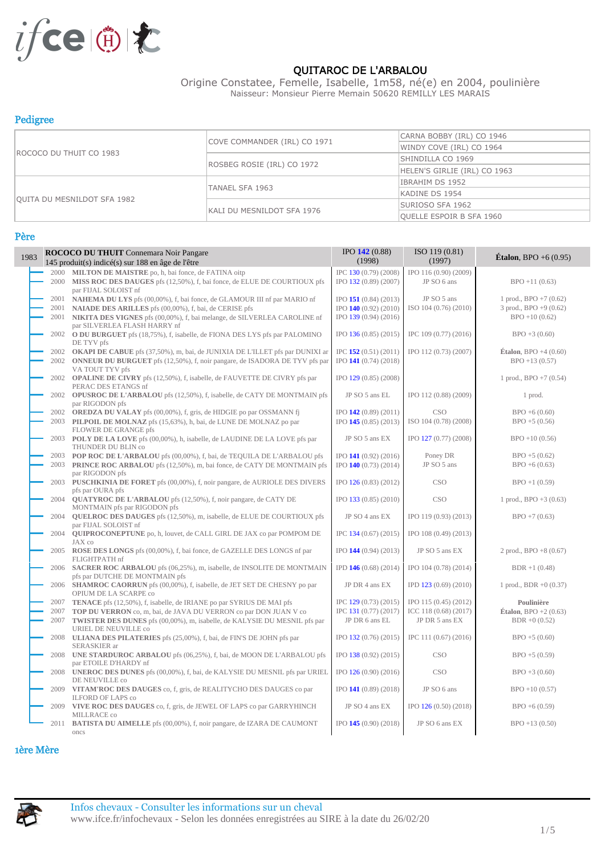

#### QUITAROC DE L'ARBALOU

Origine Constatee, Femelle, Isabelle, 1m58, né(e) en 2004, poulinière Naisseur: Monsieur Pierre Memain 50620 REMILLY LES MARAIS

#### Pedigree

|                                    |                              | CARNA BOBBY (IRL) CO 1946       |  |
|------------------------------------|------------------------------|---------------------------------|--|
|                                    | COVE COMMANDER (IRL) CO 1971 | WINDY COVE (IRL) CO 1964        |  |
| ROCOCO DU THUIT CO 1983            |                              | SHINDILLA CO 1969               |  |
|                                    | ROSBEG ROSIE (IRL) CO 1972   | HELEN'S GIRLIE (IRL) CO 1963    |  |
|                                    |                              | IBRAHIM DS 1952                 |  |
|                                    | TANAEL SFA 1963              | KADINE DS 1954                  |  |
| <b>QUITA DU MESNILDOT SFA 1982</b> |                              | SURIOSO SFA 1962                |  |
|                                    | KALI DU MESNILDOT SFA 1976   | <b>QUELLE ESPOIR B SFA 1960</b> |  |

#### Père

| 1983 |      | <b>ROCOCO DU THUIT Connemara Noir Pangare</b><br>145 produit(s) indicé(s) sur 188 en âge de l'être           | $IPO$ 142 (0.88)<br>(1998) | ISO 119 (0.81)<br>(1997) | Étalon, BPO +6 $(0.95)$                 |
|------|------|--------------------------------------------------------------------------------------------------------------|----------------------------|--------------------------|-----------------------------------------|
|      |      | 2000 MILTON DE MAISTRE po, h, bai fonce, de FATINA oitp                                                      | IPC 130 (0.79) (2008)      | IPO 116 (0.90) (2009)    |                                         |
|      |      | 2000 MISS ROC DES DAUGES pfs (12,50%), f, bai fonce, de ELUE DE COURTIOUX pfs<br>par FIJAL SOLOIST nf        | IPO 132 (0.89) (2007)      | JP SO 6 ans              | $BPO + 11(0.63)$                        |
|      | 2001 | NAHEMA DU LYS pfs (00,00%), f, bai fonce, de GLAMOUR III nf par MARIO nf                                     | IPO 151 (0.84) (2013)      | JP SO 5 ans              | 1 prod., $BPO + 7(0.62)$                |
|      | 2001 | <b>NAIADE DES ARILLES</b> pfs (00,00%), f, bai, de CERISE pfs                                                | IPO $140(0.92)(2010)$      | ISO 104 (0.76) (2010)    | $3 \text{ prod.}, \text{BPO} + 9(0.62)$ |
|      | 2001 | NIKITA DES VIGNES pfs (00,00%), f, bai melange, de SILVERLEA CAROLINE nf                                     | IPO 139 (0.94) (2016)      |                          | $BPO + 10(0.62)$                        |
|      |      | par SILVERLEA FLASH HARRY nf                                                                                 |                            |                          |                                         |
|      |      | 2002 O DU BURGUET pfs (18,75%), f, isabelle, de FIONA DES LYS pfs par PALOMINO<br>DE TYV pfs                 | IPO 136 (0.85) (2015)      | IPC 109 (0.77) (2016)    | $BPO + 3(0.60)$                         |
|      |      | 2002 OKAPI DE CABUE pfs (37,50%), m, bai, de JUNIXIA DE L'ILLET pfs par DUNIXI ar                            | IPC $152(0.51)(2011)$      | IPO 112 (0.73) (2007)    | <b>Étalon</b> , BPO $+4(0.60)$          |
|      |      | 2002 ONNEUR DU BURGUET pfs (12,50%), f, noir pangare, de ISADORA DE TYV pfs par<br>VA TOUT TYV pfs           | IPO 141 (0.74) (2018)      |                          | $BPO + 13(0.57)$                        |
|      |      | 2002 OPALINE DE CIVRY pfs (12,50%), f, isabelle, de FAUVETTE DE CIVRY pfs par<br>PERAC DES ETANGS nf         | IPO 129 (0.85) (2008)      |                          | 1 prod., $BPO + 7(0.54)$                |
|      |      | 2002 OPUSROC DE L'ARBALOU pfs (12,50%), f, isabelle, de CATY DE MONTMAIN pfs<br>par RIGODON pfs              | JP SO 5 ans EL             | IPO 112 (0.88) (2009)    | 1 prod.                                 |
|      |      | 2002 OREDZA DU VALAY pfs (00,00%), f, gris, de HIDGIE po par OSSMANN fj                                      | IPO $142(0.89)(2011)$      | <b>CSO</b>               | $BPO + 6(0.60)$                         |
|      |      | 2003 PILPOIL DE MOLNAZ pfs (15,63%), h, bai, de LUNE DE MOLNAZ po par                                        | $IPO$ 145 (0.85) (2013)    | ISO 104 (0.78) (2008)    | $BPO + 5(0.56)$                         |
|      |      | FLOWER DE GRANGE pfs                                                                                         |                            |                          |                                         |
|      |      | 2003 POLY DE LA LOVE pfs (00,00%), h, isabelle, de LAUDINE DE LA LOVE pfs par                                | JP SO 5 ans EX             | IPO 127 (0.77) (2008)    | $BPO + 10(0.56)$                        |
|      |      | THUNDER DU BLIN co<br>2003 POP ROC DE L'ARBALOU pfs (00,00%), f, bai, de TEQUILA DE L'ARBALOU pfs            | IPO 141 (0.92) (2016)      | Poney DR                 | $BPO + 5(0.62)$                         |
|      |      |                                                                                                              |                            | JP SO 5 ans              |                                         |
|      |      | 2003 PRINCE ROC ARBALOU pfs (12,50%), m, bai fonce, de CATY DE MONTMAIN pfs<br>par RIGODON pfs               | IPO 140 (0.73) (2014)      |                          | $BPO + 6(0.63)$                         |
|      |      | 2003 PUSCHKINIA DE FORET pfs (00,00%), f, noir pangare, de AURIOLE DES DIVERS                                | IPO 126 (0.83) (2012)      | CSO                      | $BPO + 1(0.59)$                         |
|      |      | pfs par OURA pfs                                                                                             |                            |                          |                                         |
|      | 2004 | <b>QUATYROC DE L'ARBALOU</b> pfs (12,50%), f, noir pangare, de CATY DE<br>MONTMAIN pfs par RIGODON pfs       | IPO 133 (0.85) (2010)      | <b>CSO</b>               | 1 prod., $BPO + 3(0.63)$                |
|      |      | 2004 QUELROC DES DAUGES pfs (12,50%), m, isabelle, de ELUE DE COURTIOUX pfs<br>par FIJAL SOLOIST nf          | JP SO 4 ans EX             | IPO 119 (0.93) (2013)    | $BPO + 7(0.63)$                         |
|      | 2004 | <b>QUIPROCONEPTUNE</b> po, h, louvet, de CALL GIRL DE JAX co par POMPOM DE<br>JAX co                         | IPC 134 (0.67) (2015)      | IPO 108 (0.49) (2013)    |                                         |
|      |      | 2005 ROSE DES LONGS pfs (00,00%), f, bai fonce, de GAZELLE DES LONGS nf par<br>FLIGHTPATH nf                 | IPO 144 (0.94) (2013)      | JP SO 5 ans EX           | 2 prod., $BPO + 8(0.67)$                |
|      |      | 2006 SACRER ROC ARBALOU pfs (06,25%), m, isabelle, de INSOLITE DE MONTMAIN<br>pfs par DUTCHE DE MONTMAIN pfs | IPD 146 (0.68) (2014)      | IPO 104 (0.78) (2014)    | $BDR + 1 (0.48)$                        |
|      |      | 2006 SHAMROC CAORRUN pfs (00,00%), f, isabelle, de JET SET DE CHESNY po par<br>OPIUM DE LA SCARPE co         | JP DR 4 ans EX             | IPD 123 (0.69) (2010)    | 1 prod., $BDR + 0$ (0.37)               |
|      |      | 2007 TENACE pfs (12,50%), f, isabelle, de IRIANE po par SYRIUS DE MAI pfs                                    | IPC 129 (0.73) (2015)      | IPO 115 (0.45) (2012)    | Poulinière                              |
|      |      | 2007 TOP DU VERRON co, m, bai, de JAVA DU VERRON co par DON JUAN V co                                        | IPC 131 (0.77) (2017)      | ICC 118 (0.68) (2017)    | <b>Étalon</b> , BPO +2 $(0.63)$         |
|      |      |                                                                                                              | JP DR 6 ans EL             | JP DR 5 ans EX           |                                         |
|      |      | 2007 TWISTER DES DUNES pfs (00,00%), m, isabelle, de KALYSIE DU MESNIL pfs par<br>URIEL DE NEUVILLE co       |                            |                          | $BDR + 0 (0.52)$                        |
|      |      | 2008 ULIANA DES PILATERIES pfs (25,00%), f, bai, de FIN'S DE JOHN pfs par                                    | IPO 132 (0.76) (2015)      | IPC 111 (0.67) (2016)    | $BPO + 5(0.60)$                         |
|      |      | SERASKIER ar                                                                                                 |                            |                          |                                         |
|      |      | 2008 UNE STARDUROC ARBALOU pfs (06,25%), f, bai, de MOON DE L'ARBALOU pfs<br>par ETOILE D'HARDY nf           | IPO 138 (0.92) (2015)      | <b>CSO</b>               | $BPO + 5(0.59)$                         |
|      |      | 2008 UNEROC DES DUNES pfs (00,00%), f, bai, de KALYSIE DU MESNIL pfs par URIEL<br>DE NEUVILLE co             | IPO 126 (0.90) (2016)      | <b>CSO</b>               | $BPO + 3(0.60)$                         |
|      |      | 2009 VITAM'ROC DES DAUGES co, f, gris, de REALITYCHO DES DAUGES co par<br><b>ILFORD OF LAPS co</b>           | IPO 141 (0.89) (2018)      | JP SO 6 ans              | $BPO + 10(0.57)$                        |
|      |      | 2009 VIVE ROC DES DAUGES co, f, gris, de JEWEL OF LAPS co par GARRYHINCH                                     | JP SO 4 ans EX             | IPO 126 (0.50) (2018)    | $BPO + 6(0.59)$                         |
|      |      | MILLRACE co<br>2011 BATISTA DU AIMELLE pfs (00,00%), f, noir pangare, de IZARA DE CAUMONT                    | IPO $145(0.90)(2018)$      | JP SO 6 ans EX           | $BPO + 13(0.50)$                        |
|      |      | oncs                                                                                                         |                            |                          |                                         |

#### 1ère Mère

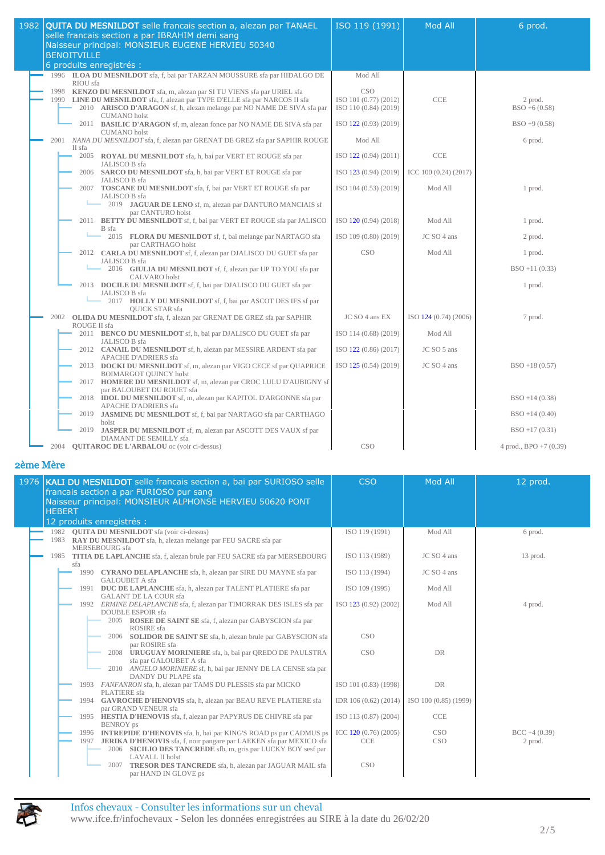| 1982 | QUITA DU MESNILDOT selle francais section a, alezan par TANAEL<br>selle francais section a par IBRAHIM demi sang<br>Naisseur principal: MONSIEUR EUGENE HERVIEU 50340<br><b>BENOITVILLE</b>                                                                                  | ISO 119 (1991)                                               | Mod All               | 6 prod.                    |
|------|------------------------------------------------------------------------------------------------------------------------------------------------------------------------------------------------------------------------------------------------------------------------------|--------------------------------------------------------------|-----------------------|----------------------------|
|      | 6 produits enregistrés :                                                                                                                                                                                                                                                     |                                                              |                       |                            |
|      | 1996 ILOA DU MESNILDOT sfa, f, bai par TARZAN MOUSSURE sfa par HIDALGO DE<br>RIOU sfa                                                                                                                                                                                        | Mod All                                                      |                       |                            |
|      | <b>KENZO DU MESNILDOT</b> sfa, m, alezan par SI TU VIENS sfa par URIEL sfa<br>1998<br>1999<br><b>LINE DU MESNILDOT</b> sfa, f, alezan par TYPE D'ELLE sfa par NARCOS II sfa<br>2010 ARISCO D'ARAGON sf, h, alezan melange par NO NAME DE SIVA sfa par<br><b>CUMANO</b> holst | <b>CSO</b><br>ISO 101 (0.77) (2012)<br>ISO 110 (0.84) (2019) | CCE                   | 2 prod.<br>$BSO + 6(0.58)$ |
|      | 2011 BASILIC D'ARAGON sf, m, alezan fonce par NO NAME DE SIVA sfa par<br><b>CUMANO</b> holst                                                                                                                                                                                 | ISO 122 (0.93) (2019)                                        |                       | $BSO + 9(0.58)$            |
|      | NANA DU MESNILDOT sfa, f, alezan par GRENAT DE GREZ sfa par SAPHIR ROUGE<br>2001<br>II sfa                                                                                                                                                                                   | Mod All                                                      |                       | 6 prod.                    |
|      | 2005 ROYAL DU MESNILDOT sfa, h, bai par VERT ET ROUGE sfa par<br>JALISCO B sfa                                                                                                                                                                                               | ISO 122 (0.94) (2011)                                        | <b>CCE</b>            |                            |
|      | 2006 SARCO DU MESNILDOT sfa, h, bai par VERT ET ROUGE sfa par<br>JALISCO B sfa                                                                                                                                                                                               | ISO 123 (0.94) (2019)                                        | ICC 100 (0.24) (2017) |                            |
|      | 2007 <b>TOSCANE DU MESNILDOT</b> sfa, f, bai par VERT ET ROUGE sfa par<br>JALISCO B sfa<br>2019 JAGUAR DE LENO sf, m, alezan par DANTURO MANCIAIS sf                                                                                                                         | ISO 104 (0.53) (2019)                                        | Mod All               | 1 prod.                    |
|      | par CANTURO holst<br>2011 BETTY DU MESNILDOT sf, f, bai par VERT ET ROUGE sfa par JALISCO                                                                                                                                                                                    | ISO 120 (0.94) (2018)                                        | Mod All               | 1 prod.                    |
|      | B sfa<br>2015 FLORA DU MESNILDOT sf, f, bai melange par NARTAGO sfa<br>par CARTHAGO holst                                                                                                                                                                                    | ISO 109 (0.80) (2019)                                        | JC SO 4 ans           | 2 prod.                    |
|      | 2012 CARLA DU MESNILDOT sf, f, alezan par DJALISCO DU GUET sfa par<br>JALISCO B sfa                                                                                                                                                                                          | CSO                                                          | Mod All               | 1 prod.                    |
|      | 2016 GIULIA DU MESNILDOT sf, f, alezan par UP TO YOU sfa par<br><b>CALVARO</b> holst                                                                                                                                                                                         |                                                              |                       | $BSO + 11(0.33)$           |
|      | 2013 DOCILE DU MESNILDOT sf, f, bai par DJALISCO DU GUET sfa par<br>JALISCO B sfa<br>2017 HOLLY DU MESNILDOT sf, f, bai par ASCOT DES IFS sf par                                                                                                                             |                                                              |                       | 1 prod.                    |
|      | <b>OUICK STAR sfa</b><br>2002 OLIDA DU MESNILDOT sfa, f, alezan par GRENAT DE GREZ sfa par SAPHIR<br>ROUGE II sfa                                                                                                                                                            | JC SO 4 ans EX                                               | ISO 124 (0.74) (2006) | 7 prod.                    |
|      | 2011 BENCO DU MESNILDOT sf, h, bai par DJALISCO DU GUET sfa par<br>JALISCO B sfa                                                                                                                                                                                             | ISO 114 (0.68) (2019)                                        | Mod All               |                            |
|      | 2012 CANAIL DU MESNILDOT sf, h, alezan par MESSIRE ARDENT sfa par<br><b>APACHE D'ADRIERS</b> sfa                                                                                                                                                                             | ISO 122 (0.86) (2017)                                        | JC SO 5 ans           |                            |
|      | 2013 DOCKI DU MESNILDOT sf, m, alezan par VIGO CECE sf par QUAPRICE<br><b>BOIMARGOT QUINCY holst</b>                                                                                                                                                                         | ISO 125 (0.54) (2019)                                        | JC SO 4 ans           | $BSO + 18(0.57)$           |
|      | 2017 HOMERE DU MESNILDOT sf, m, alezan par CROC LULU D'AUBIGNY sf<br>par BALOUBET DU ROUET sfa                                                                                                                                                                               |                                                              |                       |                            |
|      | 2018 <b>IDOL DU MESNILDOT</b> sf, m, alezan par KAPITOL D'ARGONNE sfa par<br><b>APACHE D'ADRIERS</b> sfa                                                                                                                                                                     |                                                              |                       | $BSO + 14(0.38)$           |
|      | 2019 JASMINE DU MESNILDOT sf, f, bai par NARTAGO sfa par CARTHAGO<br>holst                                                                                                                                                                                                   |                                                              |                       | $BSO + 14(0.40)$           |
|      | 2019 JASPER DU MESNILDOT sf, m, alezan par ASCOTT DES VAUX sf par<br>DIAMANT DE SEMILLY sfa                                                                                                                                                                                  |                                                              |                       | $BSO + 17(0.31)$           |
|      | 2004 <b>QUITAROC DE L'ARBALOU</b> oc (voir ci-dessus)                                                                                                                                                                                                                        | <b>CSO</b>                                                   |                       | 4 prod., $BPO + 7(0.39)$   |

| 1976 <b>KALI DU MESNILDOT</b> selle francais section a, bai par SURIOSO selle<br>francais section a par FURIOSO pur sang<br>Naisseur principal: MONSIEUR ALPHONSE HERVIEU 50620 PONT<br><b>HEBERT</b>                                 | <b>CSO</b>                          | <b>Mod All</b>           | 12 prod.                  |
|---------------------------------------------------------------------------------------------------------------------------------------------------------------------------------------------------------------------------------------|-------------------------------------|--------------------------|---------------------------|
| 12 produits enregistrés :                                                                                                                                                                                                             |                                     |                          |                           |
| 1982 <b>OUITA DU MESNILDOT</b> sfa (voir ci-dessus)<br>1983 RAY DU MESNILDOT sfa, h, alezan melange par FEU SACRE sfa par<br>MERSEBOURG sfa                                                                                           | ISO 119 (1991)                      | Mod All                  | 6 prod.                   |
| 1985 TITIA DE LAPLANCHE sfa, f, alezan brule par FEU SACRE sfa par MERSEBOURG<br>sfa                                                                                                                                                  | ISO 113 (1989)                      | $JC$ SO 4 ans            | 13 prod.                  |
| 1990 CYRANO DELAPLANCHE sfa, h, alezan par SIRE DU MAYNE sfa par<br><b>GALOUBET A sfa</b>                                                                                                                                             | ISO 113 (1994)                      | $JC$ SO 4 ans            |                           |
| 1991 DUC DE LAPLANCHE sfa, h, alezan par TALENT PLATIERE sfa par<br><b>GALANT DE LA COUR sfa</b>                                                                                                                                      | ISO 109 (1995)                      | Mod All                  |                           |
| 1992 ERMINE DELAPLANCHE sfa, f, alezan par TIMORRAK DES ISLES sfa par<br><b>DOUBLE ESPOIR</b> sfa<br>2005 ROSEE DE SAINT SE sfa, f, alezan par GABYSCION sfa par                                                                      | ISO 123 (0.92) (2002)               | Mod All                  | 4 prod.                   |
| ROSIRE sfa<br>2006<br><b>SOLIDOR DE SAINT SE</b> sfa, h, alezan brule par GABYSCION sfa<br>par ROSIRE sfa                                                                                                                             | <b>CSO</b>                          |                          |                           |
| 2008 URUGUAY MORINIERE sfa, h, bai par QREDO DE PAULSTRA<br>sfa par GALOUBET A sfa<br>2010 ANGELO MORINIERE sf, h, bai par JENNY DE LA CENSE sfa par<br>DANDY DU PLAPE sfa                                                            | <b>CSO</b>                          | <b>DR</b>                |                           |
| 1993 FANFANRON sfa, h, alezan par TAMS DU PLESSIS sfa par MICKO<br>PLATIERE sfa                                                                                                                                                       | ISO 101 (0.83) (1998)               | <b>DR</b>                |                           |
| 1994 GAVROCHE D'HENOVIS sfa, h, alezan par BEAU REVE PLATIERE sfa<br>par GRAND VENEUR sfa                                                                                                                                             | IDR 106 (0.62) (2014)               | ISO 100 (0.85) (1999)    |                           |
| 1995 HESTIA D'HENOVIS sfa, f, alezan par PAPYRUS DE CHIVRE sfa par<br><b>BENROY</b> ps                                                                                                                                                | ISO 113 (0.87) (2004)               | <b>CCE</b>               |                           |
| 1996 INTREPIDE D'HENOVIS sfa, h, bai par KING'S ROAD ps par CADMUS ps<br>1997 JERIKA D'HENOVIS sfa, f, noir pangare par LAEKEN sfa par MEXICO sfa<br>2006 SICILIO DES TANCREDE sfb, m, gris par LUCKY BOY sesf par<br>LAVALL II holst | ICC $120(0.76)(2005)$<br><b>CCE</b> | <b>CSO</b><br><b>CSO</b> | $BCC +4(0.39)$<br>2 prod. |
| <b>TRESOR DES TANCREDE</b> sfa, h, alezan par JAGUAR MAIL sfa<br>2007<br>par HAND IN GLOVE ps                                                                                                                                         | <b>CSO</b>                          |                          |                           |

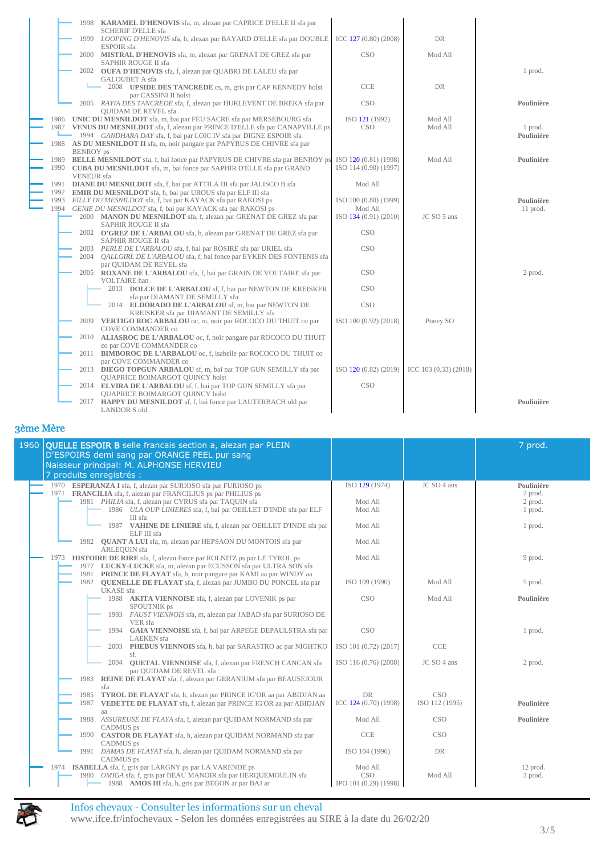|              |                                       | 1998 <b>KARAMEL D'HENOVIS</b> sfa, m, alezan par CAPRICE D'ELLE II sfa par                                                                                                                                                                                                                                    |                                                |                       |                        |
|--------------|---------------------------------------|---------------------------------------------------------------------------------------------------------------------------------------------------------------------------------------------------------------------------------------------------------------------------------------------------------------|------------------------------------------------|-----------------------|------------------------|
|              |                                       | <b>SCHERIF D'ELLE sfa</b><br>1999 LOOPING D'HENOVIS sfa, h, alezan par BAYARD D'ELLE sfa par DOUBLE<br>ESPOIR sfa                                                                                                                                                                                             | ICC 127 (0.80) (2008)                          | ${\rm DR}$            |                        |
|              |                                       | 2000 MISTRAL D'HENOVIS sfa, m, alezan par GRENAT DE GREZ sfa par<br>SAPHIR ROUGE II sfa                                                                                                                                                                                                                       | CSO                                            | Mod All               |                        |
|              |                                       | 2002 OUFA D'HENOVIS sfa, f, alezan par QUABRI DE LALEU sfa par<br><b>GALOUBET A sfa</b>                                                                                                                                                                                                                       |                                                |                       | 1 prod.                |
|              |                                       | 2008 <b>UPSIDE DES TANCREDE</b> cs, m, gris par CAP KENNEDY holst<br>par CASSINI II holst                                                                                                                                                                                                                     | CCE                                            | DR                    |                        |
|              |                                       | 2005 RAYIA DES TANCREDE sfa, f, alezan par HURLEVENT DE BREKA sfa par<br><b>OUIDAM DE REVEL sfa</b>                                                                                                                                                                                                           | CSO                                            |                       | Poulinière             |
|              |                                       | 1986 UNIC DU MESNILDOT sfa, m, bai par FEU SACRE sfa par MERSEBOURG sfa<br>1987 VENUS DU MESNILDOT sfa, f, alezan par PRINCE D'ELLE sfa par CANAPVILLE ps<br>1994 GANDHARA DAY sfa, f, bai par LOIC IV sfa par DIGNE ESPOIR sfa<br>1988 AS DU MESNILDOT II sfa, m, noir pangare par PAPYRUS DE CHIVRE sfa par | ISO 121 (1992)<br><b>CSO</b>                   | Mod All<br>Mod All    | 1 prod.<br>Poulinière  |
| 1989         | <b>BENROY</b> ps<br><b>VENEUR</b> sfa | <b>BELLE MESNILDOT</b> sfa, f, bai fonce par PAPYRUS DE CHIVRE sfa par BENROY ps<br>1990 CUBA DU MESNILDOT sfa, m, bai fonce par SAPHIR D'ELLE sfa par GRAND                                                                                                                                                  | ISO 120 (0.81) (1998)<br>ISO 114 (0.90) (1997) | Mod All               | Poulinière             |
| 1991<br>1992 |                                       | <b>DIANE DU MESNILDOT</b> sfa, f, bai par ATTILA III sfa par JALISCO B sfa<br><b>EMIR DU MESNILDOT</b> sfa, h, bai par UROUS sfa par ELF III sfa                                                                                                                                                              | Mod All                                        |                       |                        |
| 1993<br>1994 |                                       | FILLY DU MESNILDOT sfa, f, bai par KAYACK sfa par RAKOSI ps<br>GENIE DU MESNILDOT sfa, f, bai par KAYACK sfa par RAKOSI ps                                                                                                                                                                                    | ISO 100 (0.80) (1999)<br>Mod All               |                       | Poulinière<br>11 prod. |
|              |                                       | 2000 MANON DU MESNILDOT sfa, f, alezan par GRENAT DE GREZ sfa par<br>SAPHIR ROUGE II sfa                                                                                                                                                                                                                      | ISO 134 (0.91) (2010)                          | JC SO 5 ans           |                        |
|              |                                       | 2002 O'GREZ DE L'ARBALOU sfa, h, alezan par GRENAT DE GREZ sfa par<br>SAPHIR ROUGE II sfa<br>PERLE DE L'ARBALOU sfa, f, bai par ROSIRE sfa par URIEL sfa                                                                                                                                                      | <b>CSO</b><br><b>CSO</b>                       |                       |                        |
|              | 2003<br>2004                          | QALLGIRL DE L'ARBALOU sfa, f, bai fonce par EYKEN DES FONTENIS sfa<br>par QUIDAM DE REVEL sfa                                                                                                                                                                                                                 |                                                |                       |                        |
|              |                                       | 2005 ROXANE DE L'ARBALOU sfa, f, bai par GRAIN DE VOLTAIRE sfa par<br><b>VOLTAIRE</b> han                                                                                                                                                                                                                     | <b>CSO</b>                                     |                       | 2 prod.                |
|              |                                       | 2013 DOLCE DE L'ARBALOU sf, f, bai par NEWTON DE KREISKER<br>sfa par DIAMANT DE SEMILLY sfa                                                                                                                                                                                                                   | <b>CSO</b>                                     |                       |                        |
|              |                                       | 2014 ELDORADO DE L'ARBALOU sf, m, bai par NEWTON DE<br>KREISKER sfa par DIAMANT DE SEMILLY sfa                                                                                                                                                                                                                | <b>CSO</b>                                     |                       |                        |
|              | 2009<br>2010                          | VERTIGO ROC ARBALOU oc, m, noir par ROCOCO DU THUIT co par<br>COVE COMMANDER co<br>ALIASROC DE L'ARBALOU oc, f, noir pangare par ROCOCO DU THUIT                                                                                                                                                              | ISO 100 (0.92) (2018)                          | Poney SO              |                        |
|              | 2011                                  | co par COVE COMMANDER co<br><b>BIMBOROC DE L'ARBALOU</b> oc, f, isabelle par ROCOCO DU THUIT co                                                                                                                                                                                                               |                                                |                       |                        |
|              |                                       | par COVE COMMANDER co<br>2013 DIEGO TOPGUN ARBALOU sf, m, bai par TOP GUN SEMILLY sfa par                                                                                                                                                                                                                     | ISO 120 (0.82) (2019)                          | ICC 103 (0.33) (2018) |                        |
|              |                                       | <b>QUAPRICE BOIMARGOT QUINCY holst</b><br>2014 ELVIRA DE L'ARBALOU sf, f, bai par TOP GUN SEMILLY sfa par                                                                                                                                                                                                     | <b>CSO</b>                                     |                       |                        |
|              |                                       | <b>OUAPRICE BOIMARGOT OUINCY holst</b><br>2017 <b>HAPPY DU MESNILDOT</b> sf, f, bai fonce par LAUTERBACH old par<br><b>LANDOR S old</b>                                                                                                                                                                       |                                                |                       | Poulinière             |

| 1960   QUELLE ESPOIR B selle francais section a, alezan par PLEIN<br>D'ESPOIRS demi sang par ORANGE PEEL pur sang<br>Naisseur principal: M. ALPHONSE HERVIEU<br>7 produits enregistrés :                                                                        |                                                |                              | 7 prod.                                     |
|-----------------------------------------------------------------------------------------------------------------------------------------------------------------------------------------------------------------------------------------------------------------|------------------------------------------------|------------------------------|---------------------------------------------|
| 1970 ESPERANZA I sfa, f, alezan par SURIOSO sfa par FURIOSO ps<br>1971 FRANCILIA sfa, f, alezan par FRANCILIUS ps par PHILIUS ps<br>1981 PHILIA sfa, f, alezan par CYRUS sfa par TAQUIN sfa<br>1986 ULA OUP LINIERES sfa, f, bai par OEILLET D'INDE sfa par ELF | ISO 129 (1974)<br>Mod All<br>Mod All           | JC SO 4 ans                  | Poulinière<br>2 prod.<br>2 prod.<br>1 prod. |
| III sfa<br>1987 VAHINE DE LINIERE sfa, f, alezan par OEILLET D'INDE sfa par<br>$ELEIII$ sfa                                                                                                                                                                     | Mod All                                        |                              | 1 prod.                                     |
| 1982 QUANT A LUI sfa, m, alezan par HEPSAON DU MONTOIS sfa par<br>ARLEQUIN sfa                                                                                                                                                                                  | Mod All                                        |                              |                                             |
| <b>HISTOIRE DE RIRE</b> sfa, f, alezan fonce par ROLNITZ ps par LE TYROL ps<br>1973<br>1977 LUCKY-LUCKE sfa, m, alezan par ECUSSON sfa par ULTRA SON sfa<br>1981 PRINCE DE FLAYAT sfa, h, noir pangare par KAMI aa par WINDY aa                                 | Mod All                                        |                              | 9 prod.                                     |
| 1982 OUENELLE DE FLAYAT sfa, f, alezan par JUMBO DU PONCEL sfa par<br><b>UKASE</b> sfa                                                                                                                                                                          | ISO 109 (1990)                                 | Mod All                      | 5 prod.                                     |
| 1988 AKITA VIENNOISE sfa, f, alezan par LOVENIK ps par<br>SPOUTNIK ps<br>1993 FAUST VIENNOIS sfa, m, alezan par JABAD sfa par SURIOSO DE<br>VER sfa                                                                                                             | <b>CSO</b>                                     | Mod All                      | Poulinière                                  |
| 1994 GAIA VIENNOISE sfa, f, bai par ARPEGE DEPAULSTRA sfa par<br><b>LAEKEN</b> sfa                                                                                                                                                                              | <b>CSO</b>                                     |                              | 1 prod.                                     |
| 2003 PHEBUS VIENNOIS sfa, h, bai par SARASTRO ac par NIGHTKO<br>sf.                                                                                                                                                                                             | ISO 101 (0.72) (2017)                          | <b>CCE</b>                   |                                             |
| 2004 QUETAL VIENNOISE sfa, f, alezan par FRENCH CANCAN sfa<br>par OUIDAM DE REVEL sfa<br>1983<br>REINE DE FLAYAT sfa, f, alezan par GERANIUM sfa par BEAUSEJOUR                                                                                                 | ISO 116 (0.76) (2008)                          | JC SO 4 ans                  | 2 prod.                                     |
| sfa<br>TYROL DE FLAYAT sfa, h, alezan par PRINCE IG'OR aa par ABIDJAN aa<br>1985<br>VEDETTE DE FLAYAT sfa, f, alezan par PRINCE IG'OR aa par ABIDJAN<br>1987<br>aa                                                                                              | <b>DR</b><br>ICC 124 (0.70) (1998)             | <b>CSO</b><br>ISO 112 (1995) | Poulinière                                  |
| 1988 ASSUREUSE DE FLAYA sfa, f, alezan par QUIDAM NORMAND sfa par<br>CADMUS ps                                                                                                                                                                                  | Mod All                                        | <b>CSO</b>                   | Poulinière                                  |
| 1990 CASTOR DE FLAYAT sfa, h, alezan par QUIDAM NORMAND sfa par<br>CADMUS ps                                                                                                                                                                                    | <b>CCE</b>                                     | CSO <sup>.</sup>             |                                             |
| DAMAS DE FLAYAT sfa, h, alezan par QUIDAM NORMAND sfa par<br>1991<br>CADMUS ps                                                                                                                                                                                  | ISO 104 (1996)                                 | DR                           |                                             |
| <b>ISABELLA</b> sfa, f, gris par LARGNY ps par LA VARENDE ps<br>1974<br>1980 OMIGA sfa, f, gris par BEAU MANOIR sfa par HERQUEMOULIN sfa<br>1988 AMOS III sfa, h, gris par BEGON ar par BAJ ar                                                                  | Mod All<br><b>CSO</b><br>IPO 101 (0.29) (1998) | Mod All                      | 12 prod.<br>3 prod.                         |

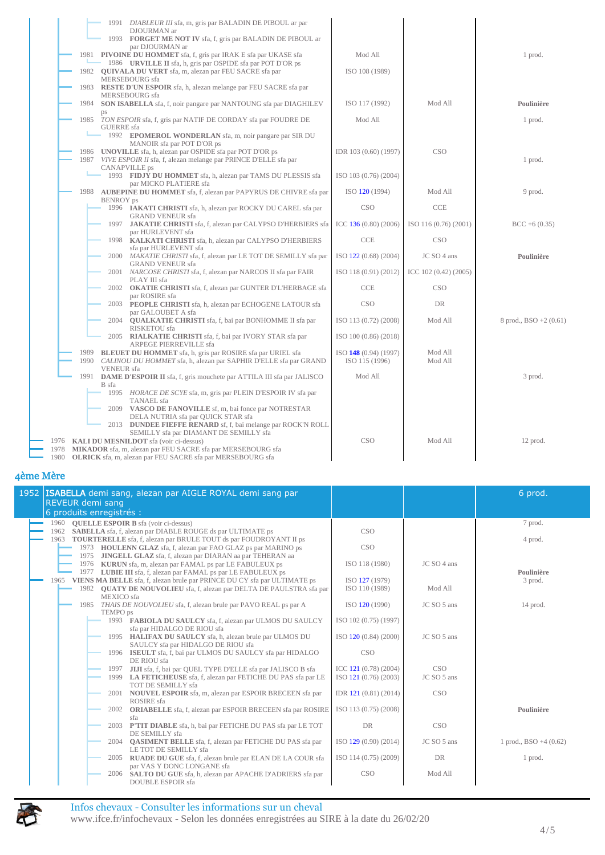| 1991 DIABLEUR III sfa, m, gris par BALADIN DE PIBOUL ar par                                                                         |                       |                       |                        |
|-------------------------------------------------------------------------------------------------------------------------------------|-----------------------|-----------------------|------------------------|
| DJOURMAN ar<br>1993 FORGET ME NOT IV sfa, f, gris par BALADIN DE PIBOUL ar<br>par DJOURMAN ar                                       |                       |                       |                        |
| 1981 PIVOINE DU HOMMET sfa, f, gris par IRAK E sfa par UKASE sfa                                                                    | Mod All               |                       | 1 prod.                |
| 1986 URVILLE II sfa, h, gris par OSPIDE sfa par POT D'OR ps<br>1982 <b>OUIVALA DU VERT</b> sfa, m, alezan par FEU SACRE sfa par     | ISO 108 (1989)        |                       |                        |
| MERSEBOURG sfa<br>1983 RESTE D'UN ESPOIR sfa, h, alezan melange par FEU SACRE sfa par                                               |                       |                       |                        |
| MERSEBOURG sfa<br>1984 SON ISABELLA sfa, f, noir pangare par NANTOUNG sfa par DIAGHILEV                                             | ISO 117 (1992)        | Mod All               | Poulinière             |
| 1985 TON ESPOIR sfa, f, gris par NATIF DE CORDAY sfa par FOUDRE DE                                                                  | Mod All               |                       | 1 prod.                |
| <b>GUERRE</b> sfa<br>1992 EPOMEROL WONDERLAN sfa, m, noir pangare par SIR DU                                                        |                       |                       |                        |
| MANOIR sfa par POT D'OR ps<br>1986 UNOVILLE sfa, h, alezan par OSPIDE sfa par POT D'OR ps                                           | IDR 103 (0.60) (1997) | CSO                   |                        |
| 1987 VIVE ESPOIR II sfa, f, alezan melange par PRINCE D'ELLE sfa par<br><b>CANAPVILLE</b> ps                                        |                       |                       | 1 prod.                |
| 1993 FIDJY DU HOMMET sfa, h, alezan par TAMS DU PLESSIS sfa                                                                         | ISO 103 (0.76) (2004) |                       |                        |
| par MICKO PLATIERE sfa<br>1988 AUBEPINE DU HOMMET sfa, f, alezan par PAPYRUS DE CHIVRE sfa par                                      | ISO 120 (1994)        | Mod All               | 9 prod.                |
| <b>BENROY</b> ps<br>1996 <b>IAKATI CHRISTI</b> sfa, h, alezan par ROCKY DU CAREL sfa par                                            | <b>CSO</b>            | CCE                   |                        |
| <b>GRAND VENEUR sfa</b><br><b>JAKATIE CHRISTI</b> sfa, f, alezan par CALYPSO D'HERBIERS sfa<br>1997                                 | ICC $136(0.80)(2006)$ | ISO 116 (0.76) (2001) | $BCC + 6(0.35)$        |
| par HURLEVENT sfa<br>1998 KALKATI CHRISTI sfa, h, alezan par CALYPSO D'HERBIERS                                                     | <b>CCE</b>            | CSO                   |                        |
| sfa par HURLEVENT sfa<br>2000 MAKATIE CHRISTI sfa, f, alezan par LE TOT DE SEMILLY sfa par                                          | ISO 122 (0.68) (2004) | JC SO 4 ans           | Poulinière             |
| <b>GRAND VENEUR sfa</b><br>2001 NARCOSE CHRISTI sfa, f, alezan par NARCOS II sfa par FAIR                                           | ISO 118 (0.91) (2012) | ICC $102(0.42)(2005)$ |                        |
| PLAY III sfa<br>2002 OKATIE CHRISTI sfa, f, alezan par GUNTER D'L'HERBAGE sfa                                                       | CCE                   | CSO                   |                        |
| par ROSIRE sfa<br>2003 PEOPLE CHRISTI sfa, h, alezan par ECHOGENE LATOUR sfa                                                        | <b>CSO</b>            | DR                    |                        |
| par GALOUBET A sfa<br>2004 <b>QUALKATIE CHRISTI</b> sfa, f, bai par BONHOMME II sfa par                                             | ISO 113 (0.72) (2008) | Mod All               | 8 prod., BSO +2 (0.61) |
| RISKETOU sfa<br>2005 RIALKATIE CHRISTI sfa, f, bai par IVORY STAR sfa par                                                           | ISO 100 (0.86) (2018) |                       |                        |
| ARPEGE PIERREVILLE sfa<br>1989 BLEUET DU HOMMET sfa, h, gris par ROSIRE sfa par URIEL sfa                                           | ISO 148 (0.94) (1997) | Mod All               |                        |
| 1990 CALINOU DU HOMMET sfa, h, alezan par SAPHIR D'ELLE sfa par GRAND<br><b>VENEUR</b> sfa                                          | ISO 115 (1996)        | Mod All               |                        |
| 1991<br><b>DAME D'ESPOIR II</b> sfa, f, gris mouchete par ATTILA III sfa par JALISCO<br>B sfa                                       | Mod All               |                       | 3 prod.                |
| 1995 HORACE DE SCYE sfa, m, gris par PLEIN D'ESPOIR IV sfa par<br>TANAEL sfa                                                        |                       |                       |                        |
| 2009 VASCO DE FANOVILLE sf, m, bai fonce par NOTRESTAR<br>DELA NUTRIA sfa par QUICK STAR sfa                                        |                       |                       |                        |
| 2013 DUNDEE FIEFFE RENARD sf, f, bai melange par ROCK'N ROLL                                                                        |                       |                       |                        |
| SEMILLY sfa par DIAMANT DE SEMILLY sfa<br>1976 KALI DU MESNILDOT sfa (voir ci-dessus)                                               | CSO                   | Mod All               | 12 prod.               |
| 1978 MIKADOR sfa, m, alezan par FEU SACRE sfa par MERSEBOURG sfa<br>1980 OLRICK sfa, m, alezan par FEU SACRE sfa par MERSEBOURG sfa |                       |                       |                        |

| 1952   ISABELLA demi sang, alezan par AIGLE ROYAL demi sang par<br><b>REVEUR demi sang</b><br>6 produits enregistrés :          |                       |             | 6 prod.                  |
|---------------------------------------------------------------------------------------------------------------------------------|-----------------------|-------------|--------------------------|
| 1960 <b>OUELLE ESPOIR B</b> sfa (voir ci-dessus)                                                                                |                       |             | 7 prod.                  |
| 1962 SABELLA sfa, f, alezan par DIABLE ROUGE ds par ULTIMATE ps                                                                 | <b>CSO</b>            |             |                          |
| 1963 TOURTERELLE sfa, f, alezan par BRULE TOUT ds par FOUDROYANT II ps                                                          |                       |             | 4 prod.                  |
| 1973 HOULENN GLAZ sfa, f, alezan par FAO GLAZ ps par MARINO ps<br>1975 JINGELL GLAZ sfa, f, alezan par DIARAN aa par TEHERAN aa | <b>CSO</b>            |             |                          |
| 1976 KURUN sfa, m, alezan par FAMAL ps par LE FABULEUX ps                                                                       | ISO 118 (1980)        | JC SO 4 ans |                          |
| 1977 LUBIE III sfa, f, alezan par FAMAL ps par LE FABULEUX ps                                                                   |                       |             | Poulinière               |
| 1965 VIENS MA BELLE sfa, f, alezan brule par PRINCE DU CY sfa par ULTIMATE ps                                                   | ISO 127 (1979)        |             | 3 prod.                  |
| 1982 QUATY DE NOUVOLIEU sfa, f, alezan par DELTA DE PAULSTRA sfa par                                                            | ISO 110 (1989)        | Mod All     |                          |
| MEXICO sfa                                                                                                                      |                       |             |                          |
| 1985 THAIS DE NOUVOLIEU sfa, f, alezan brule par PAVO REAL ps par A<br>TEMPO ps                                                 | ISO 120 (1990)        | JC SO 5 ans | 14 prod.                 |
| 1993 FABIOLA DU SAULCY sfa, f, alezan par ULMOS DU SAULCY                                                                       | ISO 102 (0.75) (1997) |             |                          |
| sfa par HIDALGO DE RIOU sfa                                                                                                     |                       |             |                          |
| 1995 HALIFAX DU SAULCY sfa, h, alezan brule par ULMOS DU                                                                        | ISO 120 (0.84) (2000) | JC SO 5 ans |                          |
| SAULCY sfa par HIDALGO DE RIOU sfa                                                                                              |                       |             |                          |
| 1996 ISEULT sfa, f, bai par ULMOS DU SAULCY sfa par HIDALGO                                                                     | <b>CSO</b>            |             |                          |
| DE RIOU sfa<br>JIJI sfa, f, bai par QUEL TYPE D'ELLE sfa par JALISCO B sfa<br>1997                                              | ICC 121 (0.78) (2004) | CSO         |                          |
| 1999 LA FETICHEUSE sfa, f, alezan par FETICHE DU PAS sfa par LE                                                                 | ISO 121 (0.76) (2003) | JC SO 5 ans |                          |
| TOT DE SEMILLY sfa                                                                                                              |                       |             |                          |
| NOUVEL ESPOIR sfa, m, alezan par ESPOIR BRECEEN sfa par<br>2001                                                                 | IDR 121 (0.81) (2014) | <b>CSO</b>  |                          |
| ROSIRE sfa                                                                                                                      |                       |             |                          |
| <b>ORIABELLE</b> sfa, f, alezan par ESPOIR BRECEEN sfa par ROSIRE<br>2002                                                       | ISO 113 (0.75) (2008) |             | Poulinière               |
| sfa<br>P'TIT DIABLE sfa, h, bai par FETICHE DU PAS sfa par LE TOT<br>2003                                                       | <b>DR</b>             | <b>CSO</b>  |                          |
| DE SEMILLY sfa                                                                                                                  |                       |             |                          |
| 2004 <b>QASIMENT BELLE</b> sfa, f, alezan par FETICHE DU PAS sfa par                                                            | ISO 129 (0.90) (2014) | JC SO 5 ans | 1 prod., $BSO + 4(0.62)$ |
| LE TOT DE SEMILLY sfa                                                                                                           |                       |             |                          |
| <b>RUADE DU GUE</b> sfa, f, alezan brule par ELAN DE LA COUR sfa<br>2005                                                        | ISO 114 (0.75) (2009) | DR          | 1 prod.                  |
| par VAS Y DONC LONGANE sfa                                                                                                      |                       |             |                          |
| 2006 SALTO DU GUE sfa, h, alezan par APACHE D'ADRIERS sfa par                                                                   | <b>CSO</b>            | Mod All     |                          |
| <b>DOUBLE ESPOIR</b> sfa                                                                                                        |                       |             |                          |